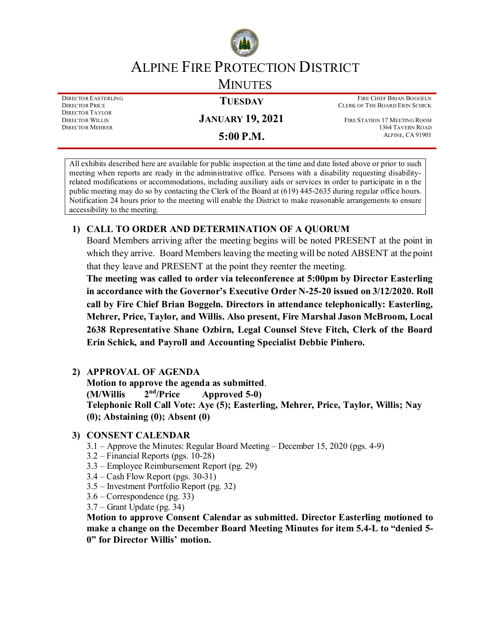

# ALPINE FIRE PROTECTION DISTRICT

**MINUTES** 

DIRECTOR EASTERLING DIRECTOR PRICE DIRECTOR TAYLOR DIRECTOR WILLIS DIRECTOR MEHRER

**JANUARY 19, 2021**

**TUESDAY**

**5:00 P.M.**

FIRE CHIEF BRIAN BOGGELN CLERK OF THE BOARD ERIN SCHICK

FIRE STATION 17 MEETING ROOM 1364 TAVERN ROAD ALPINE, CA 91901

All exhibits described here are available for public inspection at the time and date listed above or prior to such meeting when reports are ready in the administrative office. Persons with a disability requesting disabilityrelated modifications or accommodations, including auxiliary aids or services in order to participate in n the public meeting may do so by contacting the Clerk of the Board at (619) 445-2635 during regular office hours. Notification 24 hours prior to the meeting will enable the District to make reasonable arrangements to ensure accessibility to the meeting.

# **1) CALL TO ORDER AND DETERMINATION OF A QUORUM**

Board Members arriving after the meeting begins will be noted PRESENT at the point in which they arrive. Board Members leaving the meeting will be noted ABSENT at the point that they leave and PRESENT at the point they reenter the meeting.

**The meeting was called to order via teleconference at 5:00pm by Director Easterling in accordance with the Governor's Executive Order N-25-20 issued on 3/12/2020. Roll call by Fire Chief Brian Boggeln. Directors in attendance telephonically: Easterling, Mehrer, Price, Taylor, and Willis. Also present, Fire Marshal Jason McBroom, Local 2638 Representative Shane Ozbirn, Legal Counsel Steve Fitch, Clerk of the Board Erin Schick, and Payroll and Accounting Specialist Debbie Pinhero.**

# **2) APPROVAL OF AGENDA**

**Motion to approve the agenda as submitted**. **(M/Willis 2nd/Price Approved 5-0) Telephonic Roll Call Vote: Aye (5); Easterling, Mehrer, Price, Taylor, Willis; Nay (0); Abstaining (0); Absent (0)**

## **3) CONSENT CALENDAR**

- 3.1 Approve the Minutes: Regular Board Meeting December 15, 2020 (pgs. 4-9)
- 3.2 Financial Reports (pgs. 10-28)
- 3.3 Employee Reimbursement Report (pg. 29)
- 3.4 Cash Flow Report (pgs. 30-31)
- 3.5 Investment Portfolio Report (pg. 32)
- 3.6 Correspondence (pg. 33)
- 3.7 Grant Update (pg. 34)

**Motion to approve Consent Calendar as submitted. Director Easterling motioned to make a change on the December Board Meeting Minutes for item 5.4-L to "denied 5- 0" for Director Willis' motion.**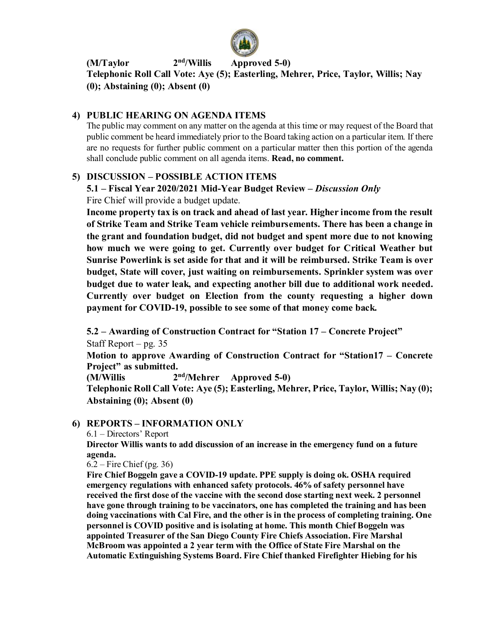

**(M/Taylor 2nd/Willis Approved 5-0)**

**Telephonic Roll Call Vote: Aye (5); Easterling, Mehrer, Price, Taylor, Willis; Nay (0); Abstaining (0); Absent (0)**

## **4) PUBLIC HEARING ON AGENDA ITEMS**

The public may comment on any matter on the agenda at this time or may request of the Board that public comment be heard immediately prior to the Board taking action on a particular item. If there are no requests for further public comment on a particular matter then this portion of the agenda shall conclude public comment on all agenda items. **Read, no comment.** 

## **5) DISCUSSION – POSSIBLE ACTION ITEMS**

**5.1 – Fiscal Year 2020/2021 Mid-Year Budget Review –** *Discussion Only*

Fire Chief will provide a budget update.

**Income property tax is on track and ahead of last year. Higher income from the result of Strike Team and Strike Team vehicle reimbursements. There has been a change in the grant and foundation budget, did not budget and spent more due to not knowing how much we were going to get. Currently over budget for Critical Weather but Sunrise Powerlink is set aside for that and it will be reimbursed. Strike Team is over budget, State will cover, just waiting on reimbursements. Sprinkler system was over budget due to water leak, and expecting another bill due to additional work needed. Currently over budget on Election from the county requesting a higher down payment for COVID-19, possible to see some of that money come back.**

**5.2 – Awarding of Construction Contract for "Station 17 – Concrete Project"** Staff Report – pg. 35

**Motion to approve Awarding of Construction Contract for "Station17 – Concrete Project" as submitted.**

**(M/Willis 2nd/Mehrer Approved 5-0)**

**Telephonic Roll Call Vote: Aye (5); Easterling, Mehrer, Price, Taylor, Willis; Nay (0); Abstaining (0); Absent (0)**

## **6) REPORTS – INFORMATION ONLY**

6.1 – Directors' Report

**Director Willis wants to add discussion of an increase in the emergency fund on a future agenda.**

 $6.2$  – Fire Chief (pg. 36)

**Fire Chief Boggeln gave a COVID-19 update. PPE supply is doing ok. OSHA required emergency regulations with enhanced safety protocols. 46% of safety personnel have received the first dose of the vaccine with the second dose starting next week. 2 personnel have gone through training to be vaccinators, one has completed the training and has been doing vaccinations with Cal Fire, and the other is in the process of completing training. One personnel is COVID positive and is isolating at home. This month Chief Boggeln was appointed Treasurer of the San Diego County Fire Chiefs Association. Fire Marshal McBroom was appointed a 2 year term with the Office of State Fire Marshal on the Automatic Extinguishing Systems Board. Fire Chief thanked Firefighter Hiebing for his**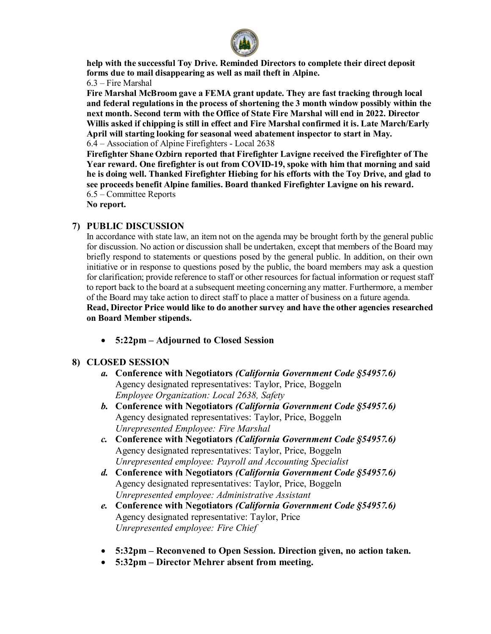

**help with the successful Toy Drive. Reminded Directors to complete their direct deposit forms due to mail disappearing as well as mail theft in Alpine.** 

6.3 – Fire Marshal

**Fire Marshal McBroom gave a FEMA grant update. They are fast tracking through local and federal regulations in the process of shortening the 3 month window possibly within the next month. Second term with the Office of State Fire Marshal will end in 2022. Director Willis asked if chipping is still in effect and Fire Marshal confirmed it is. Late March/Early April will starting looking for seasonal weed abatement inspector to start in May.**  6.4 – Association of Alpine Firefighters - Local 2638

**Firefighter Shane Ozbirn reported that Firefighter Lavigne received the Firefighter of The Year reward. One firefighter is out from COVID-19, spoke with him that morning and said he is doing well. Thanked Firefighter Hiebing for his efforts with the Toy Drive, and glad to see proceeds benefit Alpine families. Board thanked Firefighter Lavigne on his reward.**  6.5 – Committee Reports

**No report.**

#### **7) PUBLIC DISCUSSION**

In accordance with state law, an item not on the agenda may be brought forth by the general public for discussion. No action or discussion shall be undertaken, except that members of the Board may briefly respond to statements or questions posed by the general public. In addition, on their own initiative or in response to questions posed by the public, the board members may ask a question for clarification; provide reference to staff or other resources for factual information or request staff to report back to the board at a subsequent meeting concerning any matter. Furthermore, a member of the Board may take action to direct staff to place a matter of business on a future agenda.

**Read, Director Price would like to do another survey and have the other agencies researched on Board Member stipends.**

• **5:22pm – Adjourned to Closed Session**

#### **8) CLOSED SESSION**

- *a.* **Conference with Negotiators** *(California Government Code §54957.6)* Agency designated representatives: Taylor, Price, Boggeln *Employee Organization: Local 2638, Safety*
- *b.* **Conference with Negotiators** *(California Government Code §54957.6)* Agency designated representatives: Taylor, Price, Boggeln *Unrepresented Employee: Fire Marshal*
- *c.* **Conference with Negotiators** *(California Government Code §54957.6)* Agency designated representatives: Taylor, Price, Boggeln *Unrepresented employee: Payroll and Accounting Specialist*
- *d.* **Conference with Negotiators** *(California Government Code §54957.6)* Agency designated representatives: Taylor, Price, Boggeln *Unrepresented employee: Administrative Assistant*
- *e.* **Conference with Negotiators** *(California Government Code §54957.6)* Agency designated representative: Taylor, Price *Unrepresented employee: Fire Chief*
- **5:32pm – Reconvened to Open Session. Direction given, no action taken.**
- **5:32pm – Director Mehrer absent from meeting.**